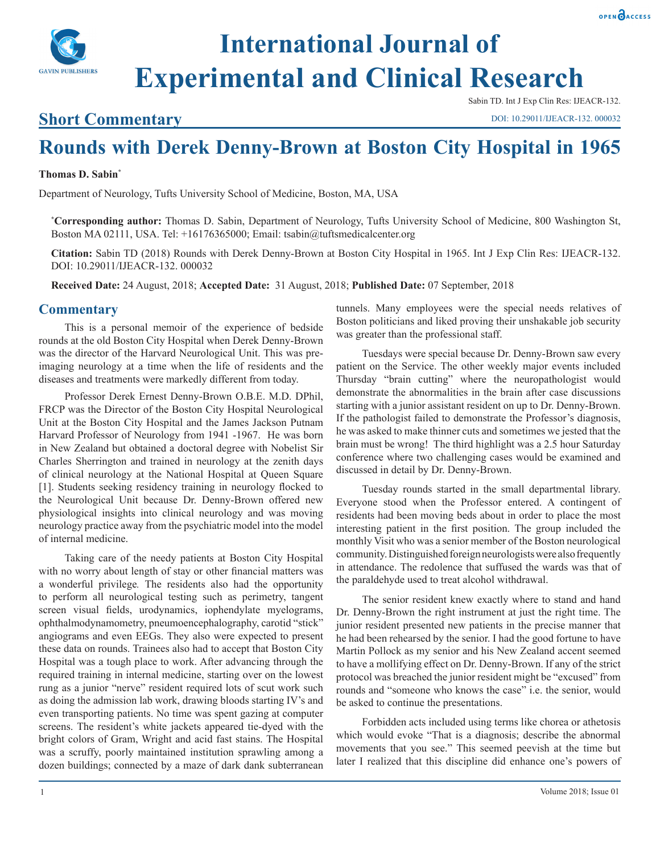

# **International Journal of Experimental and Clinical Research**

### **Short Commentary**

Sabin TD. Int J Exp Clin Res: IJEACR-132.

DOI: 10.29011/IJEACR-132. 000032

## **Rounds with Derek Denny-Brown at Boston City Hospital in 1965**

#### **Thomas D. Sabin\***

Department of Neurology, Tufts University School of Medicine, Boston, MA, USA

**\* Corresponding author:** Thomas D. Sabin, Department of Neurology, Tufts University School of Medicine, 800 Washington St, Boston MA 02111, USA. Tel: +16176365000; Email: tsabin@tuftsmedicalcenter.org

**Citation:** Sabin TD (2018) Rounds with Derek Denny-Brown at Boston City Hospital in 1965. Int J Exp Clin Res: IJEACR-132. DOI: 10.29011/IJEACR-132. 000032

**Received Date:** 24 August, 2018; **Accepted Date:** 31 August, 2018; **Published Date:** 07 September, 2018

#### **Commentary**

This is a personal memoir of the experience of bedside rounds at the old Boston City Hospital when Derek Denny-Brown was the director of the Harvard Neurological Unit. This was preimaging neurology at a time when the life of residents and the diseases and treatments were markedly different from today.

Professor Derek Ernest Denny-Brown O.B.E. M.D. DPhil, FRCP was the Director of the Boston City Hospital Neurological Unit at the Boston City Hospital and the James Jackson Putnam Harvard Professor of Neurology from 1941 -1967. He was born in New Zealand but obtained a doctoral degree with Nobelist Sir Charles Sherrington and trained in neurology at the zenith days of clinical neurology at the National Hospital at Queen Square [1]. Students seeking residency training in neurology flocked to the Neurological Unit because Dr. Denny-Brown offered new physiological insights into clinical neurology and was moving neurology practice away from the psychiatric model into the model of internal medicine.

Taking care of the needy patients at Boston City Hospital with no worry about length of stay or other financial matters was a wonderful privilege*.* The residents also had the opportunity to perform all neurological testing such as perimetry, tangent screen visual fields, urodynamics, iophendylate myelograms, ophthalmodynamometry, pneumoencephalography, carotid "stick" angiograms and even EEGs. They also were expected to present these data on rounds. Trainees also had to accept that Boston City Hospital was a tough place to work. After advancing through the required training in internal medicine, starting over on the lowest rung as a junior "nerve" resident required lots of scut work such as doing the admission lab work, drawing bloods starting IV's and even transporting patients. No time was spent gazing at computer screens. The resident's white jackets appeared tie-dyed with the bright colors of Gram, Wright and acid fast stains. The Hospital was a scruffy, poorly maintained institution sprawling among a dozen buildings; connected by a maze of dark dank subterranean

tunnels. Many employees were the special needs relatives of Boston politicians and liked proving their unshakable job security was greater than the professional staff.

Tuesdays were special because Dr. Denny-Brown saw every patient on the Service. The other weekly major events included Thursday "brain cutting" where the neuropathologist would demonstrate the abnormalities in the brain after case discussions starting with a junior assistant resident on up to Dr. Denny-Brown. If the pathologist failed to demonstrate the Professor's diagnosis, he was asked to make thinner cuts and sometimes we jested that the brain must be wrong! The third highlight was a 2.5 hour Saturday conference where two challenging cases would be examined and discussed in detail by Dr. Denny-Brown.

Tuesday rounds started in the small departmental library. Everyone stood when the Professor entered. A contingent of residents had been moving beds about in order to place the most interesting patient in the first position. The group included the monthly Visit who was a senior member of the Boston neurological community. Distinguished foreign neurologists were also frequently in attendance. The redolence that suffused the wards was that of the paraldehyde used to treat alcohol withdrawal.

The senior resident knew exactly where to stand and hand Dr. Denny-Brown the right instrument at just the right time. The junior resident presented new patients in the precise manner that he had been rehearsed by the senior. I had the good fortune to have Martin Pollock as my senior and his New Zealand accent seemed to have a mollifying effect on Dr. Denny-Brown. If any of the strict protocol was breached the junior resident might be "excused" from rounds and "someone who knows the case" i.e. the senior, would be asked to continue the presentations.

Forbidden acts included using terms like chorea or athetosis which would evoke "That is a diagnosis; describe the abnormal movements that you see." This seemed peevish at the time but later I realized that this discipline did enhance one's powers of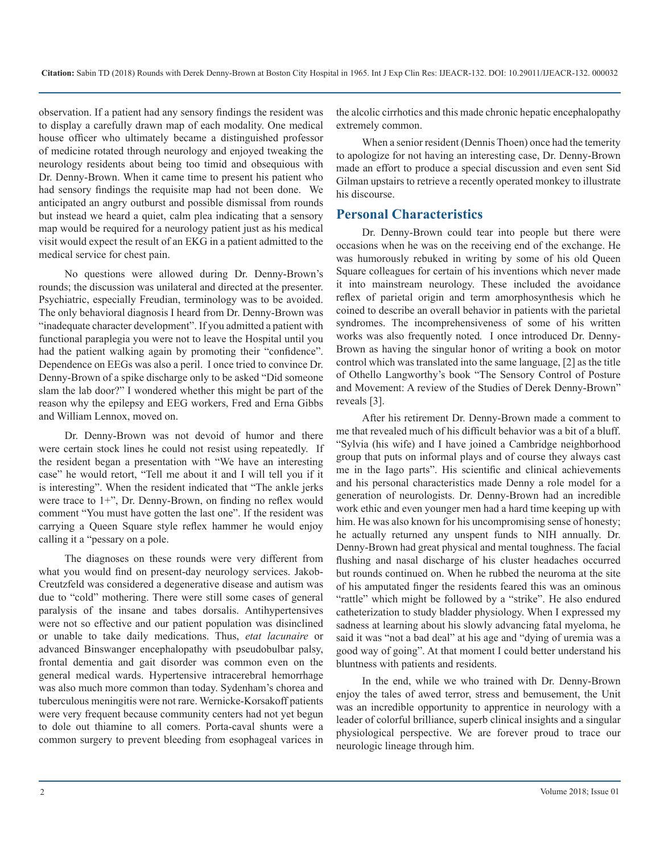observation. If a patient had any sensory findings the resident was to display a carefully drawn map of each modality. One medical house officer who ultimately became a distinguished professor of medicine rotated through neurology and enjoyed tweaking the neurology residents about being too timid and obsequious with Dr. Denny-Brown. When it came time to present his patient who had sensory findings the requisite map had not been done. We anticipated an angry outburst and possible dismissal from rounds but instead we heard a quiet, calm plea indicating that a sensory map would be required for a neurology patient just as his medical visit would expect the result of an EKG in a patient admitted to the medical service for chest pain.

No questions were allowed during Dr. Denny-Brown's rounds; the discussion was unilateral and directed at the presenter. Psychiatric, especially Freudian, terminology was to be avoided. The only behavioral diagnosis I heard from Dr. Denny-Brown was "inadequate character development". If you admitted a patient with functional paraplegia you were not to leave the Hospital until you had the patient walking again by promoting their "confidence". Dependence on EEGs was also a peril. I once tried to convince Dr. Denny-Brown of a spike discharge only to be asked "Did someone slam the lab door?" I wondered whether this might be part of the reason why the epilepsy and EEG workers, Fred and Erna Gibbs and William Lennox, moved on.

Dr. Denny-Brown was not devoid of humor and there were certain stock lines he could not resist using repeatedly. If the resident began a presentation with "We have an interesting case" he would retort, "Tell me about it and I will tell you if it is interesting". When the resident indicated that "The ankle jerks were trace to 1+", Dr. Denny-Brown, on finding no reflex would comment "You must have gotten the last one". If the resident was carrying a Queen Square style reflex hammer he would enjoy calling it a "pessary on a pole.

The diagnoses on these rounds were very different from what you would find on present-day neurology services. Jakob-Creutzfeld was considered a degenerative disease and autism was due to "cold" mothering. There were still some cases of general paralysis of the insane and tabes dorsalis. Antihypertensives were not so effective and our patient population was disinclined or unable to take daily medications. Thus, *etat lacunaire* or advanced Binswanger encephalopathy with pseudobulbar palsy, frontal dementia and gait disorder was common even on the general medical wards. Hypertensive intracerebral hemorrhage was also much more common than today. Sydenham's chorea and tuberculous meningitis were not rare. Wernicke-Korsakoff patients were very frequent because community centers had not yet begun to dole out thiamine to all comers. Porta-caval shunts were a common surgery to prevent bleeding from esophageal varices in

the alcolic cirrhotics and this made chronic hepatic encephalopathy extremely common.

When a senior resident (Dennis Thoen) once had the temerity to apologize for not having an interesting case, Dr. Denny-Brown made an effort to produce a special discussion and even sent Sid Gilman upstairs to retrieve a recently operated monkey to illustrate his discourse.

#### **Personal Characteristics**

Dr. Denny-Brown could tear into people but there were occasions when he was on the receiving end of the exchange. He was humorously rebuked in writing by some of his old Queen Square colleagues for certain of his inventions which never made it into mainstream neurology. These included the avoidance reflex of parietal origin and term amorphosynthesis which he coined to describe an overall behavior in patients with the parietal syndromes. The incomprehensiveness of some of his written works was also frequently noted*.* I once introduced Dr. Denny-Brown as having the singular honor of writing a book on motor control which was translated into the same language, [2] as the title of Othello Langworthy's book "The Sensory Control of Posture and Movement: A review of the Studies of Derek Denny-Brown" reveals [3].

After his retirement Dr. Denny-Brown made a comment to me that revealed much of his difficult behavior was a bit of a bluff. "Sylvia (his wife) and I have joined a Cambridge neighborhood group that puts on informal plays and of course they always cast me in the Iago parts". His scientific and clinical achievements and his personal characteristics made Denny a role model for a generation of neurologists. Dr. Denny-Brown had an incredible work ethic and even younger men had a hard time keeping up with him. He was also known for his uncompromising sense of honesty; he actually returned any unspent funds to NIH annually. Dr. Denny-Brown had great physical and mental toughness. The facial flushing and nasal discharge of his cluster headaches occurred but rounds continued on. When he rubbed the neuroma at the site of his amputated finger the residents feared this was an ominous "rattle" which might be followed by a "strike". He also endured catheterization to study bladder physiology. When I expressed my sadness at learning about his slowly advancing fatal myeloma, he said it was "not a bad deal" at his age and "dying of uremia was a good way of going". At that moment I could better understand his bluntness with patients and residents.

In the end, while we who trained with Dr. Denny-Brown enjoy the tales of awed terror, stress and bemusement, the Unit was an incredible opportunity to apprentice in neurology with a leader of colorful brilliance, superb clinical insights and a singular physiological perspective. We are forever proud to trace our neurologic lineage through him.